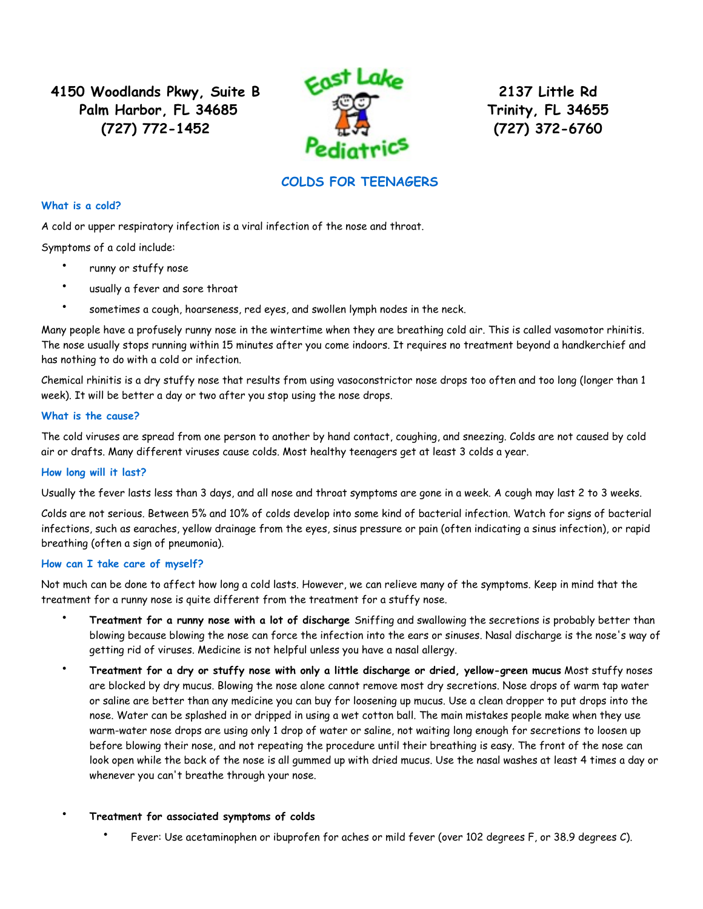**4150 Woodlands Pkwy, Suite B Palm Harbor, FL 34685 (727) 772-1452**



**2137 Little Rd Trinity, FL 34655 (727) 372-6760**

# **COLDS FOR TEENAGERS**

## **What is a cold?**

A cold or upper respiratory infection is a viral infection of the nose and throat.

Symptoms of a cold include:

- runny or stuffy nose
- usually a fever and sore throat
- sometimes a cough, hoarseness, red eyes, and swollen lymph nodes in the neck.

Many people have a profusely runny nose in the wintertime when they are breathing cold air. This is called vasomotor rhinitis. The nose usually stops running within 15 minutes after you come indoors. It requires no treatment beyond a handkerchief and has nothing to do with a cold or infection.

Chemical rhinitis is a dry stuffy nose that results from using vasoconstrictor nose drops too often and too long (longer than 1 week). It will be better a day or two after you stop using the nose drops.

## **What is the cause?**

The cold viruses are spread from one person to another by hand contact, coughing, and sneezing. Colds are not caused by cold air or drafts. Many different viruses cause colds. Most healthy teenagers get at least 3 colds a year.

# **How long will it last?**

Usually the fever lasts less than 3 days, and all nose and throat symptoms are gone in a week. A cough may last 2 to 3 weeks.

Colds are not serious. Between 5% and 10% of colds develop into some kind of bacterial infection. Watch for signs of bacterial infections, such as earaches, yellow drainage from the eyes, sinus pressure or pain (often indicating a sinus infection), or rapid breathing (often a sign of pneumonia).

#### **How can I take care of myself?**

Not much can be done to affect how long a cold lasts. However, we can relieve many of the symptoms. Keep in mind that the treatment for a runny nose is quite different from the treatment for a stuffy nose.

- **Treatment for a runny nose with a lot of discharge** Sniffing and swallowing the secretions is probably better than blowing because blowing the nose can force the infection into the ears or sinuses. Nasal discharge is the nose's way of getting rid of viruses. Medicine is not helpful unless you have a nasal allergy.
- **Treatment for a dry or stuffy nose with only a little discharge or dried, yellow-green mucus** Most stuffy noses are blocked by dry mucus. Blowing the nose alone cannot remove most dry secretions. Nose drops of warm tap water or saline are better than any medicine you can buy for loosening up mucus. Use a clean dropper to put drops into the nose. Water can be splashed in or dripped in using a wet cotton ball. The main mistakes people make when they use warm-water nose drops are using only 1 drop of water or saline, not waiting long enough for secretions to loosen up before blowing their nose, and not repeating the procedure until their breathing is easy. The front of the nose can look open while the back of the nose is all gummed up with dried mucus. Use the nasal washes at least 4 times a day or whenever you can't breathe through your nose.

# • **Treatment for associated symptoms of colds**

• Fever: Use acetaminophen or ibuprofen for aches or mild fever (over 102 degrees F, or 38.9 degrees C).